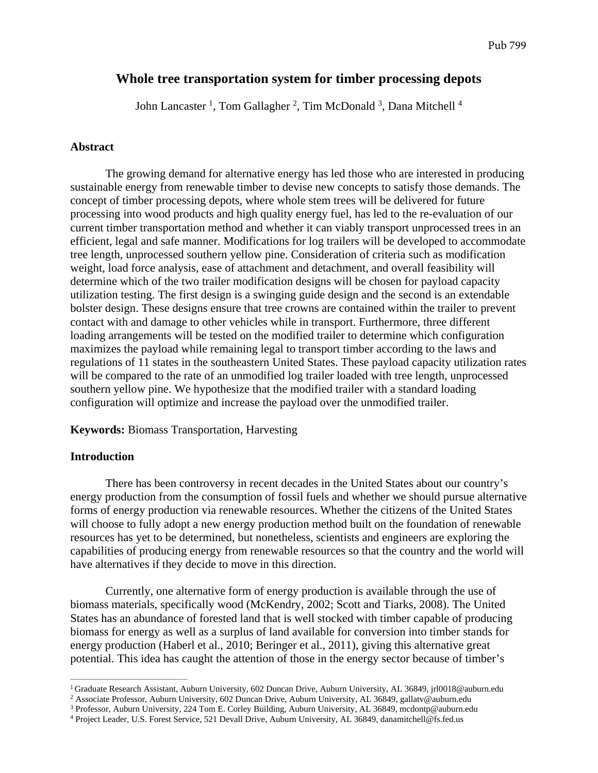# **Whole tree transportation system for timber processing depots**

John Lancaster<sup>1</sup>, Tom Gallagher<sup>2</sup>, Tim McDonald<sup>3</sup>, Dana Mitchell<sup>4</sup>

### **Abstract**

The growing demand for alternative energy has led those who are interested in producing sustainable energy from renewable timber to devise new concepts to satisfy those demands. The concept of timber processing depots, where whole stem trees will be delivered for future processing into wood products and high quality energy fuel, has led to the re-evaluation of our current timber transportation method and whether it can viably transport unprocessed trees in an efficient, legal and safe manner. Modifications for log trailers will be developed to accommodate tree length, unprocessed southern yellow pine. Consideration of criteria such as modification weight, load force analysis, ease of attachment and detachment, and overall feasibility will determine which of the two trailer modification designs will be chosen for payload capacity utilization testing. The first design is a swinging guide design and the second is an extendable bolster design. These designs ensure that tree crowns are contained within the trailer to prevent contact with and damage to other vehicles while in transport. Furthermore, three different loading arrangements will be tested on the modified trailer to determine which configuration maximizes the payload while remaining legal to transport timber according to the laws and regulations of 11 states in the southeastern United States. These payload capacity utilization rates will be compared to the rate of an unmodified log trailer loaded with tree length, unprocessed southern yellow pine. We hypothesize that the modified trailer with a standard loading configuration will optimize and increase the payload over the unmodified trailer.

**Keywords:** Biomass Transportation, Harvesting

#### **Introduction**

 $\overline{\phantom{a}}$  , and the set of the set of the set of the set of the set of the set of the set of the set of the set of the set of the set of the set of the set of the set of the set of the set of the set of the set of the s

There has been controversy in recent decades in the United States about our country's energy production from the consumption of fossil fuels and whether we should pursue alternative forms of energy production via renewable resources. Whether the citizens of the United States will choose to fully adopt a new energy production method built on the foundation of renewable resources has yet to be determined, but nonetheless, scientists and engineers are exploring the capabilities of producing energy from renewable resources so that the country and the world will have alternatives if they decide to move in this direction.

Currently, one alternative form of energy production is available through the use of biomass materials, specifically wood (McKendry, 2002; Scott and Tiarks, 2008). The United States has an abundance of forested land that is well stocked with timber capable of producing biomass for energy as well as a surplus of land available for conversion into timber stands for energy production (Haberl et al., 2010; Beringer et al., 2011), giving this alternative great potential. This idea has caught the attention of those in the energy sector because of timber's

<sup>&</sup>lt;sup>1</sup> Graduate Research Assistant, Auburn University, 602 Duncan Drive, Auburn University, AL 36849, jrl0018@auburn.edu<br><sup>2</sup> Associate Professor, Auburn University, 602 Duncan Drive, Auburn University, AL 36849, gallatv@aubur

<sup>&</sup>lt;sup>3</sup> Professor, Auburn University, 224 Tom E. Corley Building, Auburn University, AL 36849, mcdontp@auburn.edu

<sup>&</sup>lt;sup>4</sup> Project Leader, U.S. Forest Service, 521 Devall Drive, Auburn University, AL 36849, danamitchell@fs.fed.us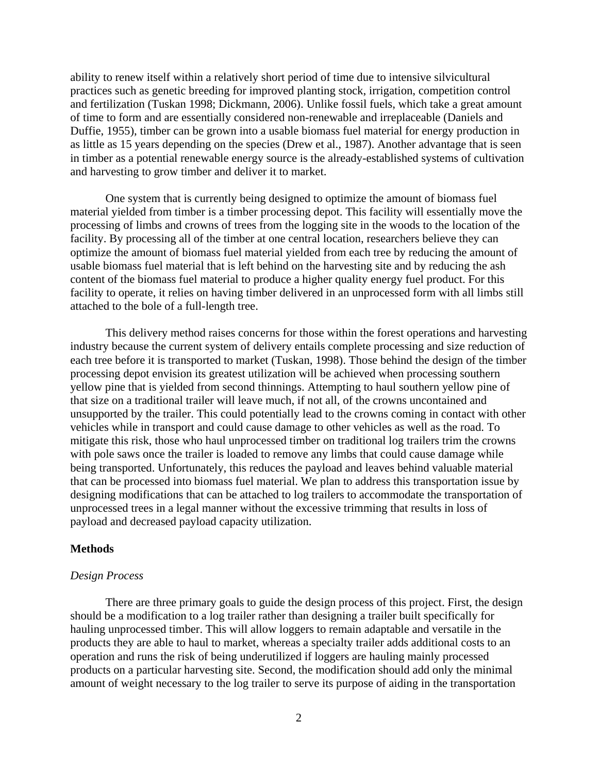ability to renew itself within a relatively short period of time due to intensive silvicultural practices such as genetic breeding for improved planting stock, irrigation, competition control and fertilization (Tuskan 1998; Dickmann, 2006). Unlike fossil fuels, which take a great amount of time to form and are essentially considered non-renewable and irreplaceable (Daniels and Duffie, 1955), timber can be grown into a usable biomass fuel material for energy production in as little as 15 years depending on the species (Drew et al., 1987). Another advantage that is seen in timber as a potential renewable energy source is the already-established systems of cultivation and harvesting to grow timber and deliver it to market.

One system that is currently being designed to optimize the amount of biomass fuel material yielded from timber is a timber processing depot. This facility will essentially move the processing of limbs and crowns of trees from the logging site in the woods to the location of the facility. By processing all of the timber at one central location, researchers believe they can optimize the amount of biomass fuel material yielded from each tree by reducing the amount of usable biomass fuel material that is left behind on the harvesting site and by reducing the ash content of the biomass fuel material to produce a higher quality energy fuel product. For this facility to operate, it relies on having timber delivered in an unprocessed form with all limbs still attached to the bole of a full-length tree.

This delivery method raises concerns for those within the forest operations and harvesting industry because the current system of delivery entails complete processing and size reduction of each tree before it is transported to market (Tuskan, 1998). Those behind the design of the timber processing depot envision its greatest utilization will be achieved when processing southern yellow pine that is yielded from second thinnings. Attempting to haul southern yellow pine of that size on a traditional trailer will leave much, if not all, of the crowns uncontained and unsupported by the trailer. This could potentially lead to the crowns coming in contact with other vehicles while in transport and could cause damage to other vehicles as well as the road. To mitigate this risk, those who haul unprocessed timber on traditional log trailers trim the crowns with pole saws once the trailer is loaded to remove any limbs that could cause damage while being transported. Unfortunately, this reduces the payload and leaves behind valuable material that can be processed into biomass fuel material. We plan to address this transportation issue by designing modifications that can be attached to log trailers to accommodate the transportation of unprocessed trees in a legal manner without the excessive trimming that results in loss of payload and decreased payload capacity utilization.

## **Methods**

#### *Design Process*

There are three primary goals to guide the design process of this project. First, the design should be a modification to a log trailer rather than designing a trailer built specifically for hauling unprocessed timber. This will allow loggers to remain adaptable and versatile in the products they are able to haul to market, whereas a specialty trailer adds additional costs to an operation and runs the risk of being underutilized if loggers are hauling mainly processed products on a particular harvesting site. Second, the modification should add only the minimal amount of weight necessary to the log trailer to serve its purpose of aiding in the transportation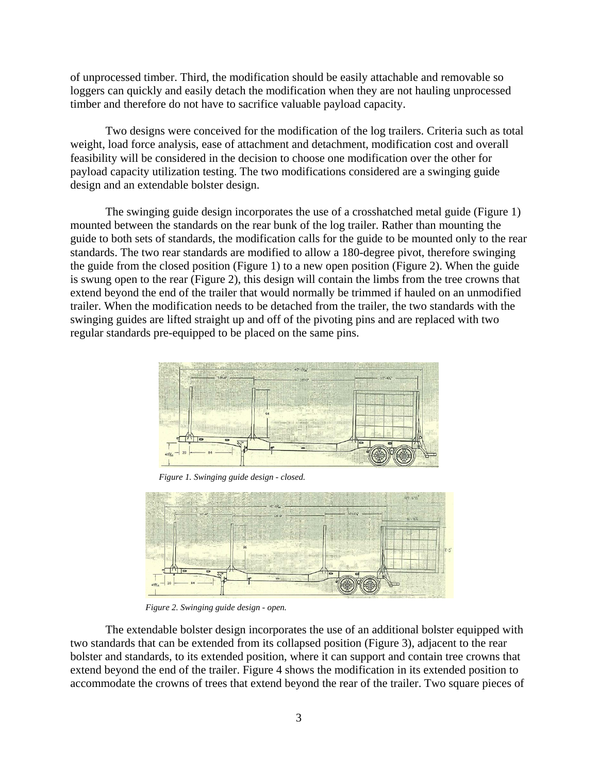of unprocessed timber. Third, the modification should be easily attachable and removable so loggers can quickly and easily detach the modification when they are not hauling unprocessed timber and therefore do not have to sacrifice valuable payload capacity.

 Two designs were conceived for the modification of the log trailers. Criteria such as total weight, load force analysis, ease of attachment and detachment, modification cost and overall feasibility will be considered in the decision to choose one modification over the other for payload capacity utilization testing. The two modifications considered are a swinging guide design and an extendable bolster design.

 The swinging guide design incorporates the use of a crosshatched metal guide (Figure 1) mounted between the standards on the rear bunk of the log trailer. Rather than mounting the guide to both sets of standards, the modification calls for the guide to be mounted only to the rear standards. The two rear standards are modified to allow a 180-degree pivot, therefore swinging the guide from the closed position (Figure 1) to a new open position (Figure 2). When the guide is swung open to the rear (Figure 2), this design will contain the limbs from the tree crowns that extend beyond the end of the trailer that would normally be trimmed if hauled on an unmodified trailer. When the modification needs to be detached from the trailer, the two standards with the swinging guides are lifted straight up and off of the pivoting pins and are replaced with two regular standards pre-equipped to be placed on the same pins.



*Figure 1. Swinging guide design - closed.*



*Figure 2. Swinging guide design - open.*

The extendable bolster design incorporates the use of an additional bolster equipped with two standards that can be extended from its collapsed position (Figure 3), adjacent to the rear bolster and standards, to its extended position, where it can support and contain tree crowns that extend beyond the end of the trailer. Figure 4 shows the modification in its extended position to accommodate the crowns of trees that extend beyond the rear of the trailer. Two square pieces of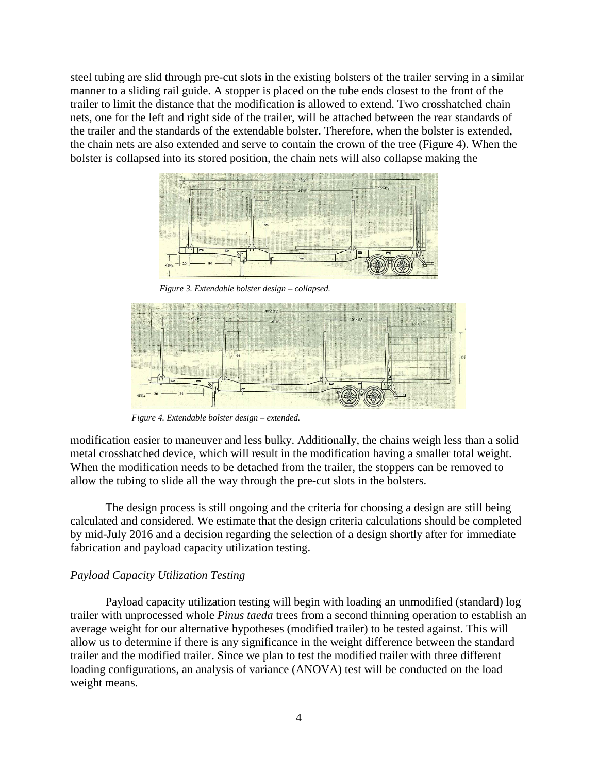steel tubing are slid through pre-cut slots in the existing bolsters of the trailer serving in a similar manner to a sliding rail guide. A stopper is placed on the tube ends closest to the front of the trailer to limit the distance that the modification is allowed to extend. Two crosshatched chain nets, one for the left and right side of the trailer, will be attached between the rear standards of the trailer and the standards of the extendable bolster. Therefore, when the bolster is extended, the chain nets are also extended and serve to contain the crown of the tree (Figure 4). When the bolster is collapsed into its stored position, the chain nets will also collapse making the



*Figure 3. Extendable bolster design – collapsed.*



*Figure 4. Extendable bolster design – extended.*

modification easier to maneuver and less bulky. Additionally, the chains weigh less than a solid metal crosshatched device, which will result in the modification having a smaller total weight. When the modification needs to be detached from the trailer, the stoppers can be removed to allow the tubing to slide all the way through the pre-cut slots in the bolsters.

 The design process is still ongoing and the criteria for choosing a design are still being calculated and considered. We estimate that the design criteria calculations should be completed by mid-July 2016 and a decision regarding the selection of a design shortly after for immediate fabrication and payload capacity utilization testing.

#### *Payload Capacity Utilization Testing*

Payload capacity utilization testing will begin with loading an unmodified (standard) log trailer with unprocessed whole *Pinus taeda* trees from a second thinning operation to establish an average weight for our alternative hypotheses (modified trailer) to be tested against. This will allow us to determine if there is any significance in the weight difference between the standard trailer and the modified trailer. Since we plan to test the modified trailer with three different loading configurations, an analysis of variance (ANOVA) test will be conducted on the load weight means.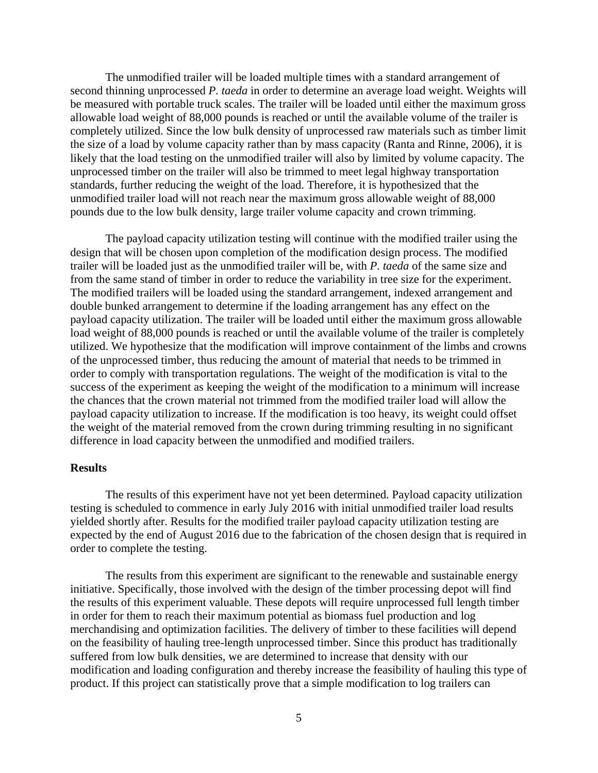The unmodified trailer will be loaded multiple times with a standard arrangement of second thinning unprocessed *P. taeda* in order to determine an average load weight. Weights will be measured with portable truck scales. The trailer will be loaded until either the maximum gross allowable load weight of 88,000 pounds is reached or until the available volume of the trailer is completely utilized. Since the low bulk density of unprocessed raw materials such as timber limit the size of a load by volume capacity rather than by mass capacity (Ranta and Rinne, 2006), it is likely that the load testing on the unmodified trailer will also by limited by volume capacity. The unprocessed timber on the trailer will also be trimmed to meet legal highway transportation standards, further reducing the weight of the load. Therefore, it is hypothesized that the unmodified trailer load will not reach near the maximum gross allowable weight of 88,000 pounds due to the low bulk density, large trailer volume capacity and crown trimming.

The payload capacity utilization testing will continue with the modified trailer using the design that will be chosen upon completion of the modification design process. The modified trailer will be loaded just as the unmodified trailer will be, with *P. taeda* of the same size and from the same stand of timber in order to reduce the variability in tree size for the experiment. The modified trailers will be loaded using the standard arrangement, indexed arrangement and double bunked arrangement to determine if the loading arrangement has any effect on the payload capacity utilization. The trailer will be loaded until either the maximum gross allowable load weight of 88,000 pounds is reached or until the available volume of the trailer is completely utilized. We hypothesize that the modification will improve containment of the limbs and crowns of the unprocessed timber, thus reducing the amount of material that needs to be trimmed in order to comply with transportation regulations. The weight of the modification is vital to the success of the experiment as keeping the weight of the modification to a minimum will increase the chances that the crown material not trimmed from the modified trailer load will allow the payload capacity utilization to increase. If the modification is too heavy, its weight could offset the weight of the material removed from the crown during trimming resulting in no significant difference in load capacity between the unmodified and modified trailers.

## **Results**

The results of this experiment have not yet been determined. Payload capacity utilization testing is scheduled to commence in early July 2016 with initial unmodified trailer load results yielded shortly after. Results for the modified trailer payload capacity utilization testing are expected by the end of August 2016 due to the fabrication of the chosen design that is required in order to complete the testing.

 The results from this experiment are significant to the renewable and sustainable energy initiative. Specifically, those involved with the design of the timber processing depot will find the results of this experiment valuable. These depots will require unprocessed full length timber in order for them to reach their maximum potential as biomass fuel production and log merchandising and optimization facilities. The delivery of timber to these facilities will depend on the feasibility of hauling tree-length unprocessed timber. Since this product has traditionally suffered from low bulk densities, we are determined to increase that density with our modification and loading configuration and thereby increase the feasibility of hauling this type of product. If this project can statistically prove that a simple modification to log trailers can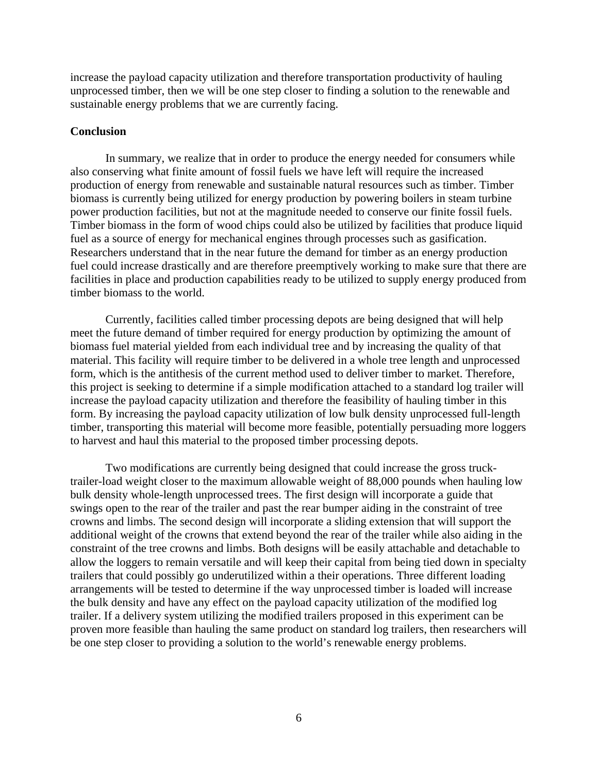increase the payload capacity utilization and therefore transportation productivity of hauling unprocessed timber, then we will be one step closer to finding a solution to the renewable and sustainable energy problems that we are currently facing.

#### **Conclusion**

In summary, we realize that in order to produce the energy needed for consumers while also conserving what finite amount of fossil fuels we have left will require the increased production of energy from renewable and sustainable natural resources such as timber. Timber biomass is currently being utilized for energy production by powering boilers in steam turbine power production facilities, but not at the magnitude needed to conserve our finite fossil fuels. Timber biomass in the form of wood chips could also be utilized by facilities that produce liquid fuel as a source of energy for mechanical engines through processes such as gasification. Researchers understand that in the near future the demand for timber as an energy production fuel could increase drastically and are therefore preemptively working to make sure that there are facilities in place and production capabilities ready to be utilized to supply energy produced from timber biomass to the world.

Currently, facilities called timber processing depots are being designed that will help meet the future demand of timber required for energy production by optimizing the amount of biomass fuel material yielded from each individual tree and by increasing the quality of that material. This facility will require timber to be delivered in a whole tree length and unprocessed form, which is the antithesis of the current method used to deliver timber to market. Therefore, this project is seeking to determine if a simple modification attached to a standard log trailer will increase the payload capacity utilization and therefore the feasibility of hauling timber in this form. By increasing the payload capacity utilization of low bulk density unprocessed full-length timber, transporting this material will become more feasible, potentially persuading more loggers to harvest and haul this material to the proposed timber processing depots.

Two modifications are currently being designed that could increase the gross trucktrailer-load weight closer to the maximum allowable weight of 88,000 pounds when hauling low bulk density whole-length unprocessed trees. The first design will incorporate a guide that swings open to the rear of the trailer and past the rear bumper aiding in the constraint of tree crowns and limbs. The second design will incorporate a sliding extension that will support the additional weight of the crowns that extend beyond the rear of the trailer while also aiding in the constraint of the tree crowns and limbs. Both designs will be easily attachable and detachable to allow the loggers to remain versatile and will keep their capital from being tied down in specialty trailers that could possibly go underutilized within a their operations. Three different loading arrangements will be tested to determine if the way unprocessed timber is loaded will increase the bulk density and have any effect on the payload capacity utilization of the modified log trailer. If a delivery system utilizing the modified trailers proposed in this experiment can be proven more feasible than hauling the same product on standard log trailers, then researchers will be one step closer to providing a solution to the world's renewable energy problems.